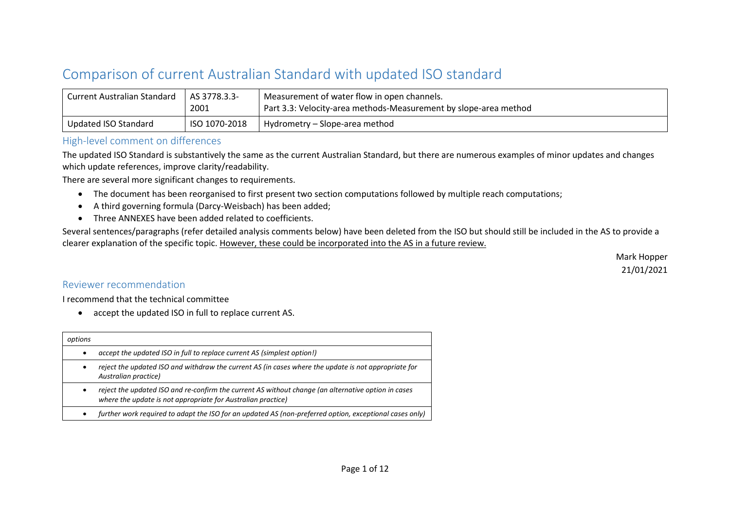## Comparison of current Australian Standard with updated ISO standard

| Current Australian Standard | AS 3778.3.3-<br>2001 | Measurement of water flow in open channels.<br>Part 3.3: Velocity-area methods-Measurement by slope-area method |
|-----------------------------|----------------------|-----------------------------------------------------------------------------------------------------------------|
| Updated ISO Standard        | ISO 1070-2018        | Hydrometry – Slope-area method                                                                                  |

## High-level comment on differences

The updated ISO Standard is substantively the same as the current Australian Standard, but there are numerous examples of minor updates and changes which update references, improve clarity/readability.

There are several more significant changes to requirements.

- The document has been reorganised to first present two section computations followed by multiple reach computations;
- A third governing formula (Darcy-Weisbach) has been added;
- Three ANNEXES have been added related to coefficients.

Several sentences/paragraphs (refer detailed analysis comments below) have been deleted from the ISO but should still be included in the AS to provide a clearer explanation of the specific topic. However, these could be incorporated into the AS in a future review.

> Mark Hopper 21/01/2021

## Reviewer recommendation

I recommend that the technical committee

• accept the updated ISO in full to replace current AS.

| options   |                                                                                                                                                                     |
|-----------|---------------------------------------------------------------------------------------------------------------------------------------------------------------------|
| ٠         | accept the updated ISO in full to replace current AS (simplest option!)                                                                                             |
| $\bullet$ | reject the updated ISO and withdraw the current AS (in cases where the update is not appropriate for<br>Australian practice)                                        |
| $\bullet$ | reject the updated ISO and re-confirm the current AS without change (an alternative option in cases<br>where the update is not appropriate for Australian practice) |
| ٠         | further work required to adapt the ISO for an updated AS (non-preferred option, exceptional cases only)                                                             |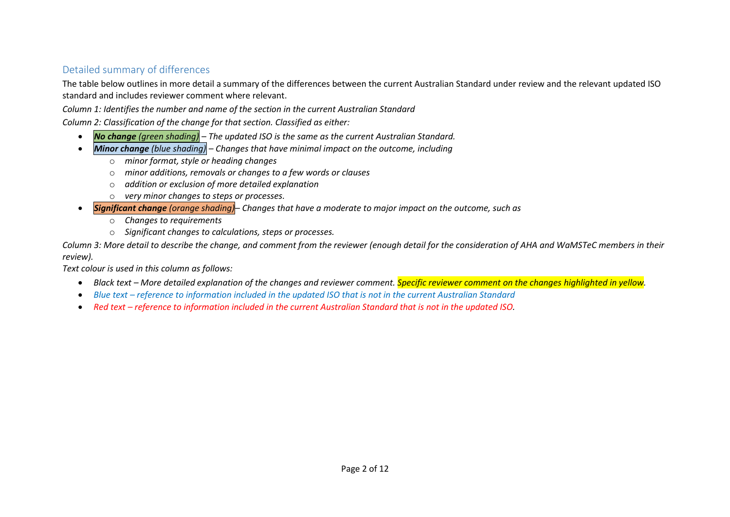## Detailed summary of differences

The table below outlines in more detail a summary of the differences between the current Australian Standard under review and the relevant updated ISO standard and includes reviewer comment where relevant.

*Column 1: Identifies the number and name of the section in the current Australian Standard*

*Column 2: Classification of the change for that section. Classified as either:*

- *No change (green shading) – The updated ISO is the same as the current Australian Standard.*
- *Minor change (blue shading) – Changes that have minimal impact on the outcome, including*
	- o *minor format, style or heading changes*
	- o *minor additions, removals or changes to a few words or clauses*
	- o *addition or exclusion of more detailed explanation*
	- o *very minor changes to steps or processes.*
- *Significant change (orange shading)– Changes that have a moderate to major impact on the outcome, such as*
	- o *Changes to requirements*
	- o *Significant changes to calculations, steps or processes.*

*Column 3: More detail to describe the change, and comment from the reviewer (enough detail for the consideration of AHA and WaMSTeC members in their review).*

*Text colour is used in this column as follows:*

- *Black text – More detailed explanation of the changes and reviewer comment. Specific reviewer comment on the changes highlighted in yellow.*
- *Blue text – reference to information included in the updated ISO that is not in the current Australian Standard*
- Red text *reference to information included in the current Australian Standard that is not in the updated ISO.*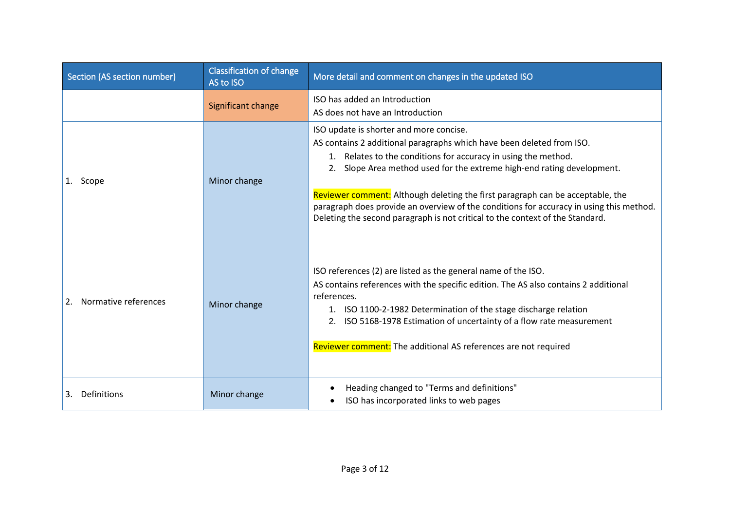| Section (AS section number) | <b>Classification of change</b><br>AS to ISO | More detail and comment on changes in the updated ISO                                                                                                                                                                                                                                                                                                                                                                                                                                                                      |
|-----------------------------|----------------------------------------------|----------------------------------------------------------------------------------------------------------------------------------------------------------------------------------------------------------------------------------------------------------------------------------------------------------------------------------------------------------------------------------------------------------------------------------------------------------------------------------------------------------------------------|
|                             | Significant change                           | ISO has added an Introduction<br>AS does not have an Introduction                                                                                                                                                                                                                                                                                                                                                                                                                                                          |
| 1. Scope                    | Minor change                                 | ISO update is shorter and more concise.<br>AS contains 2 additional paragraphs which have been deleted from ISO.<br>1. Relates to the conditions for accuracy in using the method.<br>2. Slope Area method used for the extreme high-end rating development.<br>Reviewer comment: Although deleting the first paragraph can be acceptable, the<br>paragraph does provide an overview of the conditions for accuracy in using this method.<br>Deleting the second paragraph is not critical to the context of the Standard. |
| Normative references<br>2.  | Minor change                                 | ISO references (2) are listed as the general name of the ISO.<br>AS contains references with the specific edition. The AS also contains 2 additional<br>references.<br>1. ISO 1100-2-1982 Determination of the stage discharge relation<br>ISO 5168-1978 Estimation of uncertainty of a flow rate measurement<br>Reviewer comment: The additional AS references are not required                                                                                                                                           |
| Definitions<br>3.           | Minor change                                 | Heading changed to "Terms and definitions"<br>$\bullet$<br>ISO has incorporated links to web pages                                                                                                                                                                                                                                                                                                                                                                                                                         |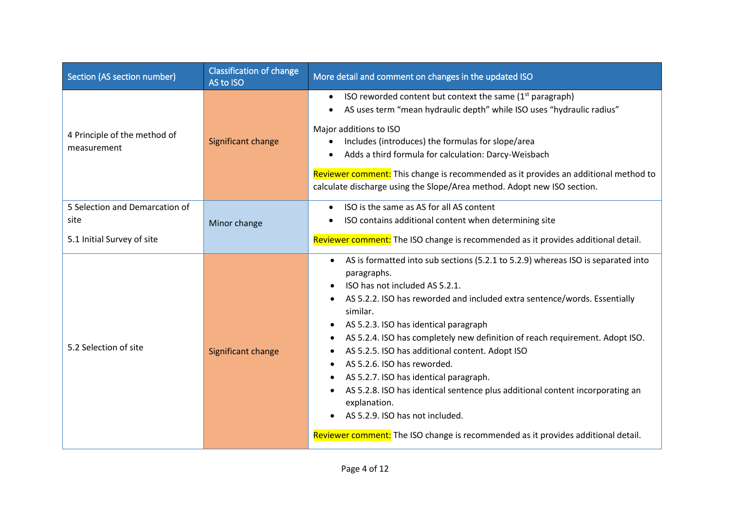| Section (AS section number)                 | <b>Classification of change</b><br>AS to ISO | More detail and comment on changes in the updated ISO                                                                                                                                                                                                                                                                                                                                                                                                                                                                                                                                                                                                                                                                                                        |
|---------------------------------------------|----------------------------------------------|--------------------------------------------------------------------------------------------------------------------------------------------------------------------------------------------------------------------------------------------------------------------------------------------------------------------------------------------------------------------------------------------------------------------------------------------------------------------------------------------------------------------------------------------------------------------------------------------------------------------------------------------------------------------------------------------------------------------------------------------------------------|
| 4 Principle of the method of<br>measurement | Significant change                           | ISO reworded content but context the same $(1st$ paragraph)<br>$\bullet$<br>AS uses term "mean hydraulic depth" while ISO uses "hydraulic radius"<br>$\bullet$<br>Major additions to ISO<br>Includes (introduces) the formulas for slope/area<br>$\bullet$<br>Adds a third formula for calculation: Darcy-Weisbach<br>Reviewer comment: This change is recommended as it provides an additional method to<br>calculate discharge using the Slope/Area method. Adopt new ISO section.                                                                                                                                                                                                                                                                         |
| 5 Selection and Demarcation of<br>site      | Minor change                                 | ISO is the same as AS for all AS content<br>ISO contains additional content when determining site                                                                                                                                                                                                                                                                                                                                                                                                                                                                                                                                                                                                                                                            |
| 5.1 Initial Survey of site                  |                                              | Reviewer comment: The ISO change is recommended as it provides additional detail.                                                                                                                                                                                                                                                                                                                                                                                                                                                                                                                                                                                                                                                                            |
| 5.2 Selection of site                       | Significant change                           | AS is formatted into sub sections (5.2.1 to 5.2.9) whereas ISO is separated into<br>$\bullet$<br>paragraphs.<br>ISO has not included AS 5.2.1.<br>AS 5.2.2. ISO has reworded and included extra sentence/words. Essentially<br>similar.<br>AS 5.2.3. ISO has identical paragraph<br>$\bullet$<br>AS 5.2.4. ISO has completely new definition of reach requirement. Adopt ISO.<br>$\bullet$<br>AS 5.2.5. ISO has additional content. Adopt ISO<br>AS 5.2.6. ISO has reworded.<br>$\bullet$<br>AS 5.2.7. ISO has identical paragraph.<br>AS 5.2.8. ISO has identical sentence plus additional content incorporating an<br>explanation.<br>AS 5.2.9. ISO has not included.<br>Reviewer comment: The ISO change is recommended as it provides additional detail. |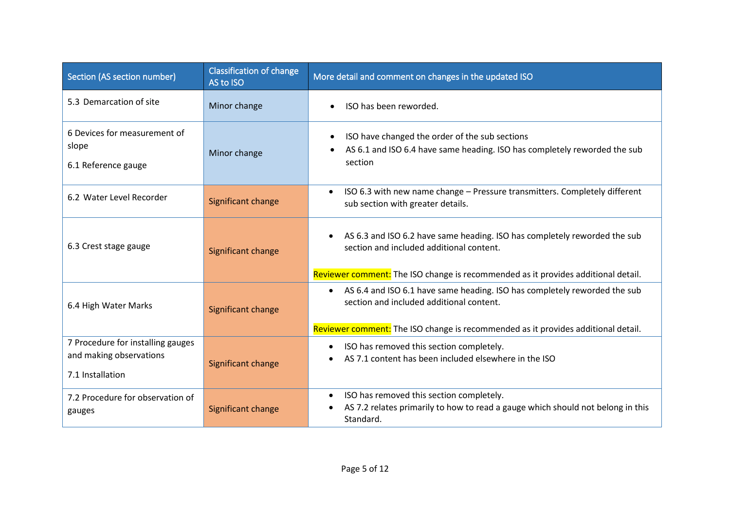| Section (AS section number)                                                      | <b>Classification of change</b><br>AS to ISO | More detail and comment on changes in the updated ISO                                                                                                                                                                   |
|----------------------------------------------------------------------------------|----------------------------------------------|-------------------------------------------------------------------------------------------------------------------------------------------------------------------------------------------------------------------------|
| 5.3 Demarcation of site                                                          | Minor change                                 | ISO has been reworded.<br>$\bullet$                                                                                                                                                                                     |
| 6 Devices for measurement of<br>slope<br>6.1 Reference gauge                     | Minor change                                 | ISO have changed the order of the sub sections<br>$\bullet$<br>AS 6.1 and ISO 6.4 have same heading. ISO has completely reworded the sub<br>section                                                                     |
| 6.2 Water Level Recorder                                                         | Significant change                           | ISO 6.3 with new name change - Pressure transmitters. Completely different<br>$\bullet$<br>sub section with greater details.                                                                                            |
| 6.3 Crest stage gauge                                                            | Significant change                           | AS 6.3 and ISO 6.2 have same heading. ISO has completely reworded the sub<br>$\bullet$<br>section and included additional content.<br>Reviewer comment: The ISO change is recommended as it provides additional detail. |
| 6.4 High Water Marks                                                             | Significant change                           | AS 6.4 and ISO 6.1 have same heading. ISO has completely reworded the sub<br>$\bullet$<br>section and included additional content.<br>Reviewer comment: The ISO change is recommended as it provides additional detail. |
| 7 Procedure for installing gauges<br>and making observations<br>7.1 Installation | Significant change                           | ISO has removed this section completely.<br>$\bullet$<br>AS 7.1 content has been included elsewhere in the ISO                                                                                                          |
| 7.2 Procedure for observation of<br>gauges                                       | Significant change                           | ISO has removed this section completely.<br>$\bullet$<br>AS 7.2 relates primarily to how to read a gauge which should not belong in this<br>$\bullet$<br>Standard.                                                      |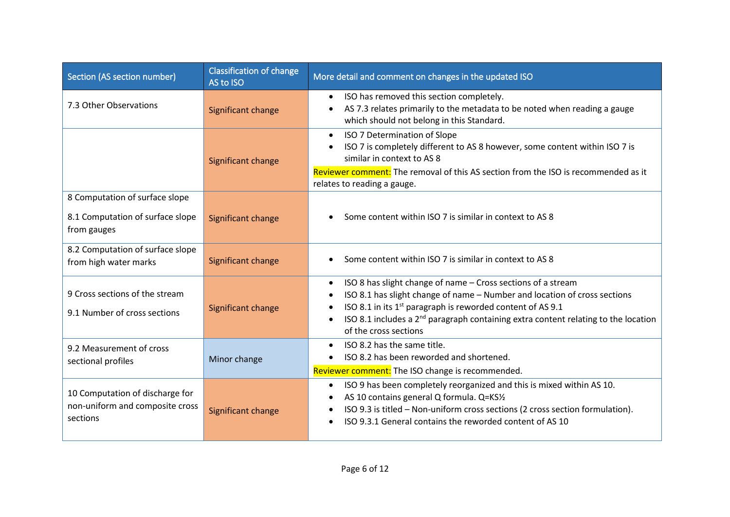| Section (AS section number)                                                       | <b>Classification of change</b><br>AS to ISO | More detail and comment on changes in the updated ISO                                                                                                                                                                                                                                                                                                                                              |
|-----------------------------------------------------------------------------------|----------------------------------------------|----------------------------------------------------------------------------------------------------------------------------------------------------------------------------------------------------------------------------------------------------------------------------------------------------------------------------------------------------------------------------------------------------|
| 7.3 Other Observations                                                            | Significant change                           | ISO has removed this section completely.<br>AS 7.3 relates primarily to the metadata to be noted when reading a gauge<br>which should not belong in this Standard.                                                                                                                                                                                                                                 |
|                                                                                   | Significant change                           | ISO 7 Determination of Slope<br>$\bullet$<br>ISO 7 is completely different to AS 8 however, some content within ISO 7 is<br>similar in context to AS 8<br>Reviewer comment: The removal of this AS section from the ISO is recommended as it                                                                                                                                                       |
|                                                                                   |                                              | relates to reading a gauge.                                                                                                                                                                                                                                                                                                                                                                        |
| 8 Computation of surface slope<br>8.1 Computation of surface slope<br>from gauges | Significant change                           | Some content within ISO 7 is similar in context to AS 8<br>$\bullet$                                                                                                                                                                                                                                                                                                                               |
| 8.2 Computation of surface slope<br>from high water marks                         | Significant change                           | Some content within ISO 7 is similar in context to AS 8                                                                                                                                                                                                                                                                                                                                            |
| 9 Cross sections of the stream<br>9.1 Number of cross sections                    | Significant change                           | ISO 8 has slight change of name - Cross sections of a stream<br>$\bullet$<br>ISO 8.1 has slight change of name - Number and location of cross sections<br>$\bullet$<br>ISO 8.1 in its 1 <sup>st</sup> paragraph is reworded content of AS 9.1<br>$\bullet$<br>ISO 8.1 includes a 2 <sup>nd</sup> paragraph containing extra content relating to the location<br>$\bullet$<br>of the cross sections |
| 9.2 Measurement of cross<br>sectional profiles                                    | Minor change                                 | ISO 8.2 has the same title.<br>$\bullet$<br>ISO 8.2 has been reworded and shortened.<br>Reviewer comment: The ISO change is recommended.                                                                                                                                                                                                                                                           |
| 10 Computation of discharge for<br>non-uniform and composite cross<br>sections    | Significant change                           | ISO 9 has been completely reorganized and this is mixed within AS 10.<br>$\bullet$<br>AS 10 contains general Q formula. Q=KS1/2<br>ISO 9.3 is titled - Non-uniform cross sections (2 cross section formulation).<br>$\bullet$<br>ISO 9.3.1 General contains the reworded content of AS 10                                                                                                          |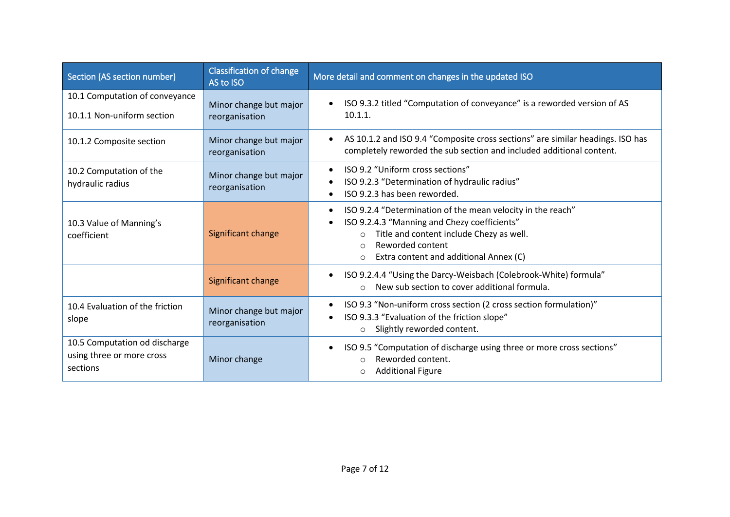| Section (AS section number)                                            | <b>Classification of change</b><br>AS to ISO | More detail and comment on changes in the updated ISO                                                                                                                                                                                                                 |
|------------------------------------------------------------------------|----------------------------------------------|-----------------------------------------------------------------------------------------------------------------------------------------------------------------------------------------------------------------------------------------------------------------------|
| 10.1 Computation of conveyance                                         | Minor change but major                       | ISO 9.3.2 titled "Computation of conveyance" is a reworded version of AS<br>$\bullet$                                                                                                                                                                                 |
| 10.1.1 Non-uniform section                                             | reorganisation                               | $10.1.1$ .                                                                                                                                                                                                                                                            |
| 10.1.2 Composite section                                               | Minor change but major<br>reorganisation     | AS 10.1.2 and ISO 9.4 "Composite cross sections" are similar headings. ISO has<br>$\bullet$<br>completely reworded the sub section and included additional content.                                                                                                   |
| 10.2 Computation of the                                                | Minor change but major                       | ISO 9.2 "Uniform cross sections"<br>$\bullet$                                                                                                                                                                                                                         |
| hydraulic radius                                                       | reorganisation                               | ISO 9.2.3 "Determination of hydraulic radius"<br>ISO 9.2.3 has been reworded.                                                                                                                                                                                         |
| 10.3 Value of Manning's<br>coefficient                                 | Significant change                           | ISO 9.2.4 "Determination of the mean velocity in the reach"<br>$\bullet$<br>ISO 9.2.4.3 "Manning and Chezy coefficients"<br>$\bullet$<br>Title and content include Chezy as well.<br>$\circ$<br>Reworded content<br>Extra content and additional Annex (C)<br>$\circ$ |
|                                                                        | Significant change                           | ISO 9.2.4.4 "Using the Darcy-Weisbach (Colebrook-White) formula"<br>$\bullet$<br>New sub section to cover additional formula.<br>$\bigcirc$                                                                                                                           |
| 10.4 Evaluation of the friction<br>slope                               | Minor change but major<br>reorganisation     | ISO 9.3 "Non-uniform cross section (2 cross section formulation)"<br>$\bullet$<br>ISO 9.3.3 "Evaluation of the friction slope"<br>$\bullet$<br>Slightly reworded content.<br>$\circ$                                                                                  |
| 10.5 Computation od discharge<br>using three or more cross<br>sections | Minor change                                 | ISO 9.5 "Computation of discharge using three or more cross sections"<br>$\bullet$<br>Reworded content.<br>$\circ$<br><b>Additional Figure</b><br>O                                                                                                                   |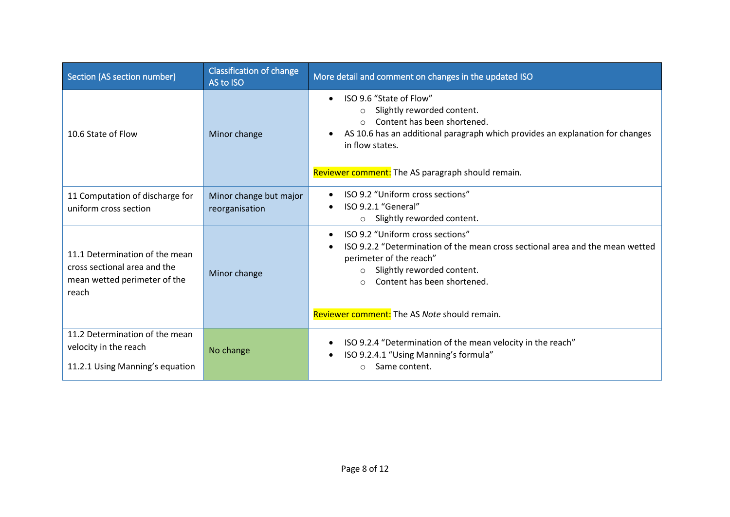| Section (AS section number)                                                                             | <b>Classification of change</b><br>AS to ISO | More detail and comment on changes in the updated ISO                                                                                                                                                                                                                                        |
|---------------------------------------------------------------------------------------------------------|----------------------------------------------|----------------------------------------------------------------------------------------------------------------------------------------------------------------------------------------------------------------------------------------------------------------------------------------------|
| 10.6 State of Flow                                                                                      | Minor change                                 | ISO 9.6 "State of Flow"<br>$\bullet$<br>Slightly reworded content.<br>$\circ$<br>Content has been shortened.<br>$\bigcirc$<br>AS 10.6 has an additional paragraph which provides an explanation for changes<br>in flow states.<br>Reviewer comment: The AS paragraph should remain.          |
| 11 Computation of discharge for<br>uniform cross section                                                | Minor change but major<br>reorganisation     | ISO 9.2 "Uniform cross sections"<br>$\bullet$<br>ISO 9.2.1 "General"<br>$\bullet$<br>Slightly reworded content.<br>$\circ$                                                                                                                                                                   |
| 11.1 Determination of the mean<br>cross sectional area and the<br>mean wetted perimeter of the<br>reach | Minor change                                 | ISO 9.2 "Uniform cross sections"<br>$\bullet$<br>ISO 9.2.2 "Determination of the mean cross sectional area and the mean wetted<br>perimeter of the reach"<br>Slightly reworded content.<br>$\circ$<br>Content has been shortened.<br>$\circ$<br>Reviewer comment: The AS Note should remain. |
| 11.2 Determination of the mean<br>velocity in the reach<br>11.2.1 Using Manning's equation              | No change                                    | ISO 9.2.4 "Determination of the mean velocity in the reach"<br>$\bullet$<br>ISO 9.2.4.1 "Using Manning's formula"<br>$\bullet$<br>Same content.                                                                                                                                              |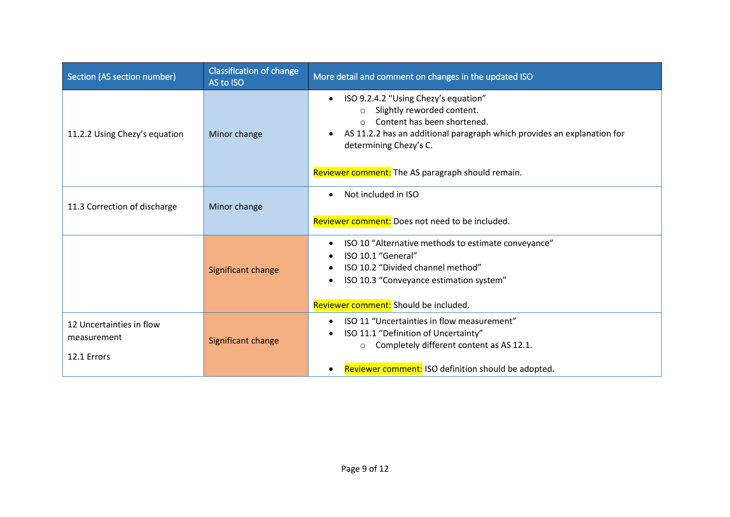| Section (AS section number)                            | <b>Classification of change</b><br>AS to ISO | More detail and comment on changes in the updated ISO                                                                                                                                                                                                                                            |
|--------------------------------------------------------|----------------------------------------------|--------------------------------------------------------------------------------------------------------------------------------------------------------------------------------------------------------------------------------------------------------------------------------------------------|
| 11.2.2 Using Chezy's equation                          | Minor change                                 | ISO 9.2.4.2 "Using Chezy's equation"<br>$\bullet$<br>Slightly reworded content.<br>$\circ$<br>Content has been shortened.<br>$\bigcap$<br>AS 11.2.2 has an additional paragraph which provides an explanation for<br>determining Chezy's C.<br>Reviewer comment: The AS paragraph should remain. |
| 11.3 Correction of discharge                           | Minor change                                 | Not included in ISO<br>$\bullet$<br>Reviewer comment: Does not need to be included.                                                                                                                                                                                                              |
|                                                        | Significant change                           | ISO 10 "Alternative methods to estimate conveyance"<br>$\bullet$<br>ISO 10.1 "General"<br>ISO 10.2 "Divided channel method"<br>ISO 10.3 "Conveyance estimation system"<br>٠<br>Reviewer comment: Should be included.                                                                             |
| 12 Uncertainties in flow<br>measurement<br>12.1 Errors | Significant change                           | ISO 11 "Uncertainties in flow measurement"<br>$\bullet$<br>ISO 11.1 "Definition of Uncertainty"<br>$\bullet$<br>Completely different content as AS 12.1.<br>$\circ$<br>Reviewer comment: ISO definition should be adopted.<br>$\bullet$                                                          |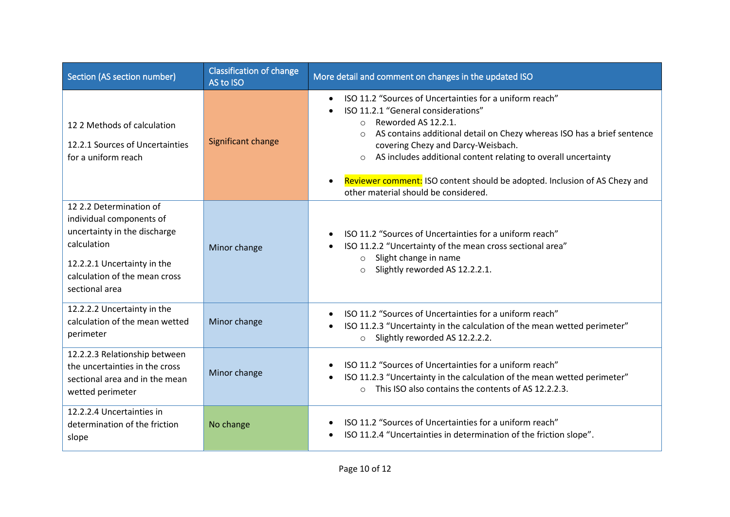| Section (AS section number)                                                                                                                                                          | <b>Classification of change</b><br>AS to ISO | More detail and comment on changes in the updated ISO                                                                                                                                                                                                                                                                                                                                                                                                                        |
|--------------------------------------------------------------------------------------------------------------------------------------------------------------------------------------|----------------------------------------------|------------------------------------------------------------------------------------------------------------------------------------------------------------------------------------------------------------------------------------------------------------------------------------------------------------------------------------------------------------------------------------------------------------------------------------------------------------------------------|
| 122 Methods of calculation<br>12.2.1 Sources of Uncertainties<br>for a uniform reach                                                                                                 | Significant change                           | ISO 11.2 "Sources of Uncertainties for a uniform reach"<br>$\bullet$<br>ISO 11.2.1 "General considerations"<br>Reworded AS 12.2.1.<br>$\circ$<br>AS contains additional detail on Chezy whereas ISO has a brief sentence<br>$\circ$<br>covering Chezy and Darcy-Weisbach.<br>AS includes additional content relating to overall uncertainty<br>$\circ$<br>Reviewer comment: ISO content should be adopted. Inclusion of AS Chezy and<br>other material should be considered. |
| 12 2.2 Determination of<br>individual components of<br>uncertainty in the discharge<br>calculation<br>12.2.2.1 Uncertainty in the<br>calculation of the mean cross<br>sectional area | Minor change                                 | ISO 11.2 "Sources of Uncertainties for a uniform reach"<br>$\bullet$<br>ISO 11.2.2 "Uncertainty of the mean cross sectional area"<br>$\bullet$<br>$\circ$ Slight change in name<br>Slightly reworded AS 12.2.2.1.<br>$\circ$                                                                                                                                                                                                                                                 |
| 12.2.2.2 Uncertainty in the<br>calculation of the mean wetted<br>perimeter                                                                                                           | Minor change                                 | ISO 11.2 "Sources of Uncertainties for a uniform reach"<br>$\bullet$<br>ISO 11.2.3 "Uncertainty in the calculation of the mean wetted perimeter"<br>$\bullet$<br>o Slightly reworded AS 12.2.2.2.                                                                                                                                                                                                                                                                            |
| 12.2.2.3 Relationship between<br>the uncertainties in the cross<br>sectional area and in the mean<br>wetted perimeter                                                                | Minor change                                 | ISO 11.2 "Sources of Uncertainties for a uniform reach"<br>ISO 11.2.3 "Uncertainty in the calculation of the mean wetted perimeter"<br>$\bullet$<br>o This ISO also contains the contents of AS 12.2.2.3.                                                                                                                                                                                                                                                                    |
| 12.2.2.4 Uncertainties in<br>determination of the friction<br>slope                                                                                                                  | No change                                    | ISO 11.2 "Sources of Uncertainties for a uniform reach"<br>ISO 11.2.4 "Uncertainties in determination of the friction slope".<br>$\bullet$                                                                                                                                                                                                                                                                                                                                   |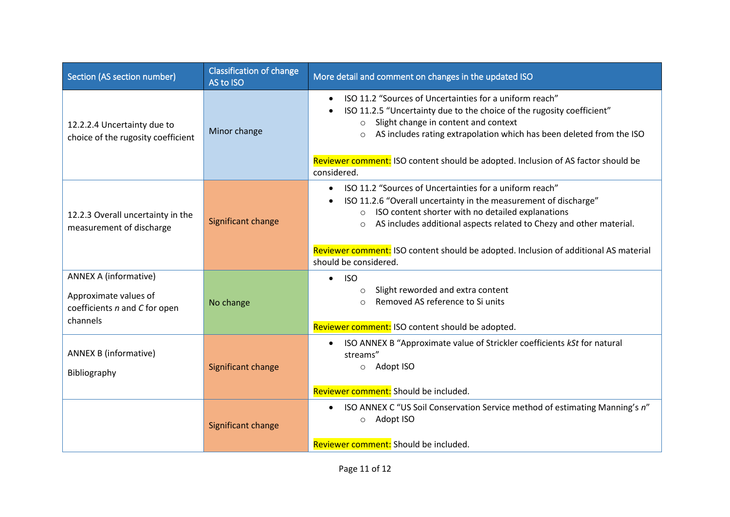| Section (AS section number)                                                                        | <b>Classification of change</b><br>AS to ISO | More detail and comment on changes in the updated ISO                                                                                                                                                                                                                                                                                                                                              |
|----------------------------------------------------------------------------------------------------|----------------------------------------------|----------------------------------------------------------------------------------------------------------------------------------------------------------------------------------------------------------------------------------------------------------------------------------------------------------------------------------------------------------------------------------------------------|
| 12.2.2.4 Uncertainty due to<br>choice of the rugosity coefficient                                  | Minor change                                 | ISO 11.2 "Sources of Uncertainties for a uniform reach"<br>ISO 11.2.5 "Uncertainty due to the choice of the rugosity coefficient"<br>o Slight change in content and context<br>o AS includes rating extrapolation which has been deleted from the ISO<br>Reviewer comment: ISO content should be adopted. Inclusion of AS factor should be<br>considered.                                          |
| 12.2.3 Overall uncertainty in the<br>measurement of discharge                                      | Significant change                           | ISO 11.2 "Sources of Uncertainties for a uniform reach"<br>ISO 11.2.6 "Overall uncertainty in the measurement of discharge"<br>$\bullet$<br>o ISO content shorter with no detailed explanations<br>AS includes additional aspects related to Chezy and other material.<br>$\circ$<br>Reviewer comment: ISO content should be adopted. Inclusion of additional AS material<br>should be considered. |
| <b>ANNEX A (informative)</b><br>Approximate values of<br>coefficients n and C for open<br>channels | No change                                    | <b>ISO</b><br>$\bullet$<br>Slight reworded and extra content<br>$\circ$<br>Removed AS reference to Si units<br>$\bigcap$<br>Reviewer comment: ISO content should be adopted.                                                                                                                                                                                                                       |
| <b>ANNEX B (informative)</b><br>Bibliography                                                       | Significant change                           | ISO ANNEX B "Approximate value of Strickler coefficients kSt for natural<br>$\bullet$<br>streams"<br>o Adopt ISO<br>Reviewer comment: Should be included.                                                                                                                                                                                                                                          |
|                                                                                                    | Significant change                           | ISO ANNEX C "US Soil Conservation Service method of estimating Manning's n"<br>$\bullet$<br>Adopt ISO<br>$\circ$<br>Reviewer comment: Should be included.                                                                                                                                                                                                                                          |